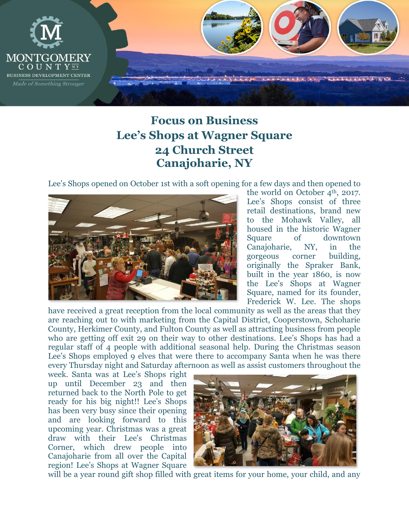

## **Focus on Business Lee's Shops at Wagner Square 24 Church Street Canajoharie, NY**

Lee's Shops opened on October 1st with a soft opening for a few days and then opened to



the world on October 4<sup>th</sup>, 2017. Lee's Shops consist of three retail destinations, brand new to the Mohawk Valley, all housed in the historic Wagner Square of downtown Canajoharie, NY, in the gorgeous corner building, originally the Spraker Bank, built in the year 1860, is now the Lee's Shops at Wagner Square, named for its founder, Frederick W. Lee. The shops

have received a great reception from the local community as well as the areas that they are reaching out to with marketing from the Capital District, Cooperstown, Schoharie County, Herkimer County, and Fulton County as well as attracting business from people who are getting off exit 29 on their way to other destinations. Lee's Shops has had a regular staff of 4 people with additional seasonal help. During the Christmas season Lee's Shops employed 9 elves that were there to accompany Santa when he was there every Thursday night and Saturday afternoon as well as assist customers throughout the

week. Santa was at Lee's Shops right up until December 23 and then returned back to the North Pole to get ready for his big night!! Lee's Shops has been very busy since their opening and are looking forward to this upcoming year. Christmas was a great draw with their Lee's Christmas Corner, which drew people into Canajoharie from all over the Capital region! Lee's Shops at Wagner Square



will be a year round gift shop filled with great items for your home, your child, and any